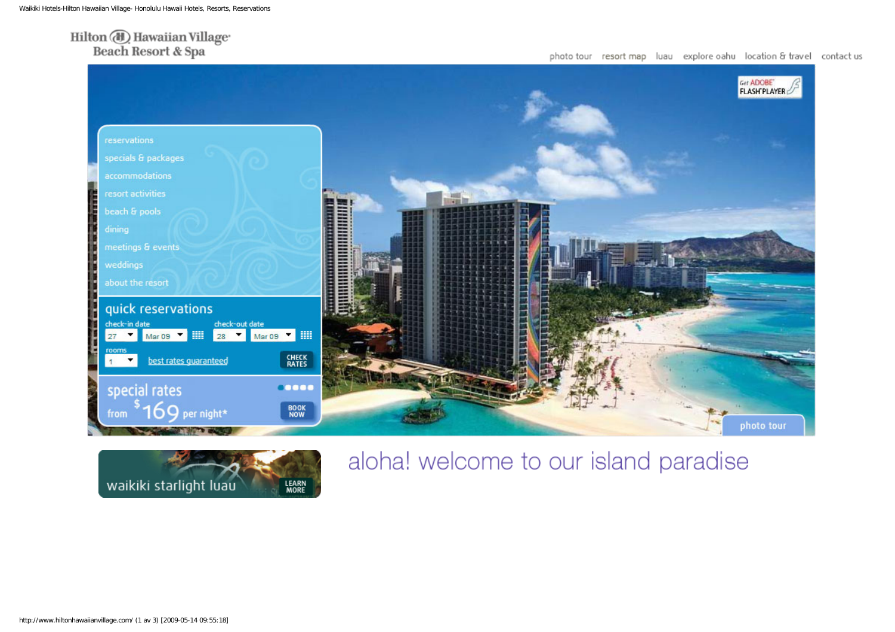## $\operatorname{Hilton}\nolimits(\overline{\textcolor{blue}\text{A}}) \operatorname{Hawaiian} \operatorname{Village}$ Beach Resort & Spa





# aloha! welcome to our island paradise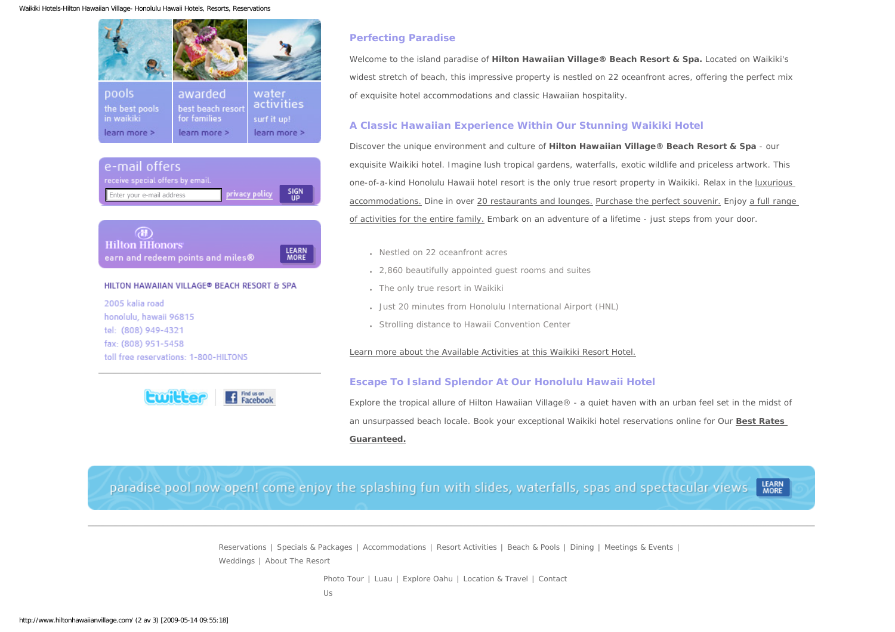Waikiki Hotels-Hilton Hawaiian Village- Honolulu Hawaii Hotels, Resorts, Reservations







#### HILTON HAWAIIAN VILLAGE® BEACH RESORT & SPA

2005 kalia road honolulu, hawaii 96815 tel: (808) 949-4321 fax: (808) 951-5458 toll free reservations: 1-800-HILTONS



### **Perfecting Paradise**

Welcome to the island paradise of **Hilton Hawaiian Village® Beach Resort & Spa.** Located on Waikiki's widest stretch of beach, this impressive property is nestled on 22 oceanfront acres, offering the perfect mix of exquisite hotel accommodations and classic Hawaiian hospitality.

#### **A Classic Hawaiian Experience Within Our Stunning Waikiki Hotel**

Discover the unique environment and culture of **Hilton Hawaiian Village® Beach Resort & Spa** - our exquisite Waikiki hotel. Imagine lush tropical gardens, waterfalls, exotic wildlife and priceless artwork. This one-of-a-kind Honolulu Hawaii hotel resort is the only true resort property in Waikiki. Relax in the [luxurious](http://www.hiltonhawaiianvillage.com/accommodations/index.cfm)  [accommodations.](http://www.hiltonhawaiianvillage.com/accommodations/index.cfm) Dine in over [20 restaurants and lounges.](http://www.hiltonhawaiianvillage.com/dining/index.cfm) [Purchase the perfect souvenir.](http://www.hiltonhawaiianvillage.com/resort_activities/shopping.cfm) Enjoy [a full range](http://www.hiltonhawaiianvillage.com/resort_activities/index.cfm) [of activities for the entire family.](http://www.hiltonhawaiianvillage.com/resort_activities/index.cfm) Embark on an adventure of a lifetime - just steps from your door.

- Nestled on 22 oceanfront acres
- 2,860 beautifully appointed quest rooms and suites
- The only true resort in Waikiki
- Just 20 minutes from Honolulu International Airport (HNL)
- Strolling distance to Hawaii Convention Center

#### [Learn more about the Available Activities at this Waikiki Resort Hotel.](http://www.hiltonhawaiianvillage.com/resort_activities/index.cfm)

#### **Escape To Island Splendor At Our Honolulu Hawaii Hotel**

Explore the tropical allure of Hilton Hawaiian Village® - a quiet haven with an urban feel set in the midst of an unsurpassed beach locale. Book your exceptional Waikiki hotel reservations online for Our **[Best Rates](https://secure.hilton.com/en/hi/res/choose_dates.jhtml?ctyhocn=HNLHVHH&WT.mc_id=1HH2ST3HiltonHawaiianVillage4Reservations5HTMLLinks) [Guaranteed.](https://secure.hilton.com/en/hi/res/choose_dates.jhtml?ctyhocn=HNLHVHH&WT.mc_id=1HH2ST3HiltonHawaiianVillage4Reservations5HTMLLinks)**

paradise pool now open! come enjoy the splashing fun with slides, waterfalls, spas and spectacular views know

[Reservations](https://secure.hilton.com/en/hi/res/choose_dates.jhtml?ctyhocn=HNLHVHH&WT.mc_id=1HH2ST3HiltonHawaiianVillage4Reservations5HTMLLinks) | [Specials & Packages](http://www.hiltonhawaiianvillage.com/specials_and_packages/index.cfm) | [Accommodations](http://www.hiltonhawaiianvillage.com/accommodations/index.cfm) | [Resort Activities](http://www.hiltonhawaiianvillage.com/resort_activities/index.cfm) | [Beach & Pools](http://www.hiltonhawaiianvillage.com/beach_and_pools/index.cfm) | [Dining](http://www.hiltonhawaiianvillage.com/dining/index.cfm) | [Meetings & Events](http://www.hiltonhawaiianvillage.com/meetings_and_events/index.cfm) | [Weddings](http://www.hiltonhawaiianvillage.com/weddings/index.cfm) | [About The Resort](http://www.hiltonhawaiianvillage.com/about_hilton_hawaiian_village/index.cfm) 

[Photo Tour](http://www.hiltonhawaiianvillage.com/photo_gallery/photo_gallery.cfm?LinkToGo=resort) | [Luau](http://www.hiltonhawaiianvillage.com/luau/index.cfm) | [Explore Oahu](http://www.hiltonhawaiianvillage.com/explore_oahu/index.cfm) | [Location & Travel](http://www.hiltonhawaiianvillage.com/location_and_travel/index.cfm) | [Contact](http://www.hiltonhawaiianvillage.com/contact_form/contact_form.cfm)